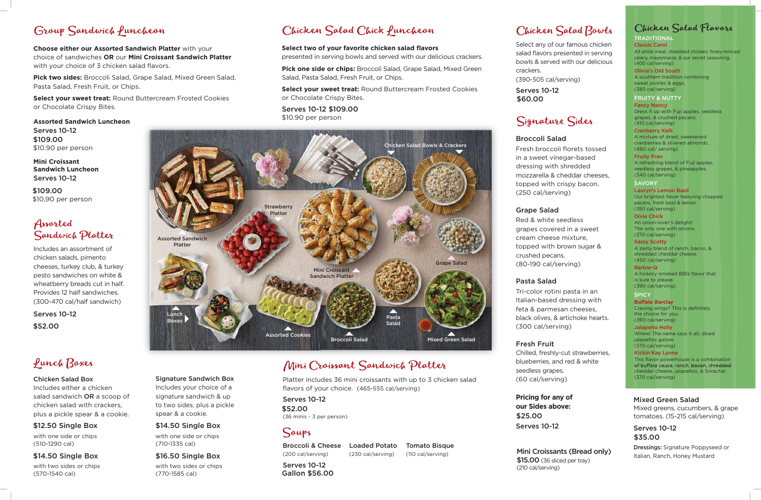

Includes an assortment of chicken salads, pimento cheeses, turkey club, & turkey pesto sandwiches on white & wheatberry breads cut in half. Provides 12 half sandwiches. (300-470 cal/half sandwich)

> Platter includes 36 mini croissants with up to 3 chicken salad flavors of your choice. (465-555 cal/serving)

# Group Sandwich funcheon

**Choose either our Assorted Sandwich Platter** with your choice of sandwiches **OR** our **Mini Croissant Sandwich Platter**  with your choice of 3 chicken salad flavors.

**Pick two sides:** Broccoli Salad, Grape Salad, Mixed Green Salad, Pasta Salad, Fresh Fruit, or Chips.

**Select your sweet treat:** Round Buttercream Frosted Cookies or Chocolate Crispy Bites.

**Mini Croissant Sandwich Luncheon** Serves 10-12

Select any of our famous chicken salad flavors presented in serving bowls & served with our delicious crackers. (390-505 cal/serving)

Signature Sandwich Box

### **TRADITIONAL** Classic Carol All white meat, shredded chicken, finely-minced celery, mayonnaise, & our secret seasoning. (400 cal/serving)

Includes your choice of a signature sandwich & up to two sides, plus a pickle spear & a cookie.

with one side or chips (710-1335 cal)

with two sides or chips (770-1585 cal)

## Mini Croissant Sandwich Platter

### Chicken Salad Box

**SAVORY** Lauryn's Lemon Basil Our brightest flavor featuring chopped pecans, fresh basil & lemon. (390 cal/serving)

Includes either a chicken salad sandwich OR a scoop of chicken salad with crackers, plus a pickle spear & a cookie.

with one side or chips (510-1290 cal)

with two sides or chips (570-1540 cal)

# Chicken Salad Chick funcheon

### **SPICY Buffalo Barclay** Craving wings? This is definitely

Broccoli Salad

Fresh broccoli florets tossed in a sweet vinegar-based dressing with shredded mozzarella & cheddar cheeses, topped with crispy bacon. (250 cal/serving)

### Grape Salad

grapes covered in a sweet topped with brown sugar &

## Chicken Salad Flavors

Red & white seedless cream cheese mixture, crushed pecans. (80-190 cal/serving)

### Pasta Salad

Tri-color rotini pasta in an Italian-based dressing with feta & parmesan cheeses, black olives, & artichoke hearts. (300 cal/serving)

## Fresh Fruit

Chilled, freshly-cut strawberries, blueberries, and red & white seedless grapes. (60 cal/serving)

Serves 10-12 \$52.00

# **Lunch Boxes**

Serves 10-12 (36 minis - 3 per person) \$52.00

# Soups

Olivia's Old South A southern tradition combining sweet pickles & eggs. (380 cal/serving)

### FRUITY & NUTTY

**Assorted Sandwich Luncheon** Serves 10-12 \$109.00 \$10.90 per person

Fancy Nancy Dress it up with Fuji apples, seedless grapes, & crushed pecans. (410 cal/serving)

Cranberry Kelli A mixture of dried, sweetened cranberries & slivered almonds. (460 cal/ serving)

Serves 10-12 \$60.00

# Signature Sides

Fruity Fran A refreshing blend of Fuji apples, seedless grapes, & pineapples. (340 cal/serving)

Dixie Chick An onion-lover's delight! The only one with onions. (370 cal/serving)

Sassy Scotty A zesty blend of ranch, bacon, & shredded cheddar cheese. (450 cal/serving)

Barbie-Q A hickory smoked BBQ flavor that is sure to please. (390 cal/serving)

the choice for you. (390 cal/serving)

**Pricing for any of our Sides above:** Serves 10-12 \$25.00

Jalapeño Holly Whew! The name says it all, diced jalapeños galore. (370 cal/serving)

Kickin Kay Lynne This flavor powerhouse is a combination of buffalo sauce, ranch, bacon, shredded cheddar cheese, jalapeños, & Sriracha! (370 cal/serving)

## Mixed Green Salad

Mixed greens, cucumbers, & grape tomatoes. (15-215 cal/serving)

Dressings: Signature Poppyseed or Italian, Ranch, Honey Mustard

### **Select two of your favorite chicken salad flavors**

presented in serving bowls and served with our delicious crackers.

**Pick one side or chips:** Broccoli Salad, Grape Salad, Mixed Green Salad, Pasta Salad, Fresh Fruit, or Chips.

**Select your sweet treat:** Round Buttercream Frosted Cookies or Chocolate Crispy Bites.

## Serves 10-12 \$35.00

Broccoli & Cheese (200 cal/serving)

Loaded Potato (230 cal/serving)

Tomato Bisque

(110 cal/serving)

## Chicken Salad Bowls

### \$12.50 Single Box

### \$14.50 Single Box

Serves 10-12 Gallon \$56.00

### \$14.50 Single Box

### \$16.50 Single Box

Serves 10-12 \$109.00 \$10.90 per person

> Mini Croissants (Bread only) **\$15.00** (36 sliced per tray) (210 cal/serving)

\$109.00 \$10,90 per person

## Assorted Sandwich Platter